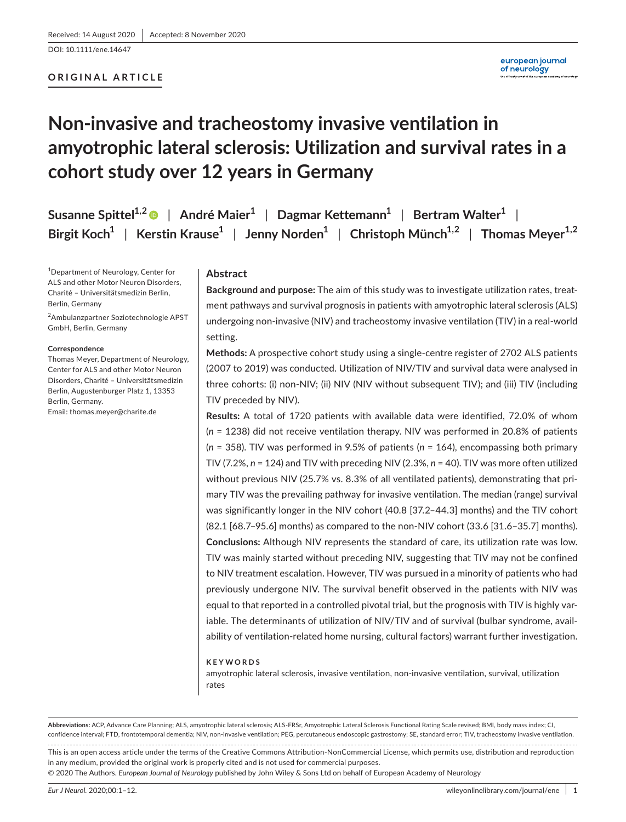DOI: 10.1111/ene.14647

# **ORIGINAL ARTICLE**

# **Non-invasive and tracheostomy invasive ventilation in amyotrophic lateral sclerosis: Utilization and survival rates in a cohort study over 12 years in Germany**

**Susanne Spittel1,2** | **André Maier<sup>1</sup>** | **Dagmar Kettemann<sup>1</sup>** | **Bertram Walter<sup>1</sup>** | **Birgit Koch<sup>1</sup>** | **Kerstin Krause<sup>1</sup>** | **Jenny Norden<sup>1</sup>** | **Christoph Münch1,2** | **Thomas Meyer1,2**

1 Department of Neurology, Center for ALS and other Motor Neuron Disorders, Charité – Universitätsmedizin Berlin, Berlin, Germany

<sup>2</sup>Ambulanzpartner Soziotechnologie APST GmbH, Berlin, Germany

#### **Correspondence**

Thomas Meyer, Department of Neurology, Center for ALS and other Motor Neuron Disorders, Charité – Universitätsmedizin Berlin, Augustenburger Platz 1, 13353 Berlin, Germany. Email: [thomas.meyer@charite.de](mailto:thomas.meyer@charite.de)

# **Abstract**

**Background and purpose:** The aim of this study was to investigate utilization rates, treatment pathways and survival prognosis in patients with amyotrophic lateral sclerosis (ALS) undergoing non-invasive (NIV) and tracheostomy invasive ventilation (TIV) in a real-world setting.

**Methods:** A prospective cohort study using a single-centre register of 2702 ALS patients (2007 to 2019) was conducted. Utilization of NIV/TIV and survival data were analysed in three cohorts: (i) non-NIV; (ii) NIV (NIV without subsequent TIV); and (iii) TIV (including TIV preceded by NIV).

**Results:** A total of 1720 patients with available data were identified, 72.0% of whom (*n* = 1238) did not receive ventilation therapy. NIV was performed in 20.8% of patients (*n* = 358). TIV was performed in 9.5% of patients (*n* = 164), encompassing both primary TIV (7.2%, *n* = 124) and TIV with preceding NIV (2.3%, *n* = 40). TIV was more often utilized without previous NIV (25.7% vs. 8.3% of all ventilated patients), demonstrating that primary TIV was the prevailing pathway for invasive ventilation. The median (range) survival was significantly longer in the NIV cohort (40.8 [37.2–44.3] months) and the TIV cohort (82.1 [68.7–95.6] months) as compared to the non-NIV cohort (33.6 [31.6–35.7] months). **Conclusions:** Although NIV represents the standard of care, its utilization rate was low. TIV was mainly started without preceding NIV, suggesting that TIV may not be confined to NIV treatment escalation. However, TIV was pursued in a minority of patients who had previously undergone NIV. The survival benefit observed in the patients with NIV was equal to that reported in a controlled pivotal trial, but the prognosis with TIV is highly variable. The determinants of utilization of NIV/TIV and of survival (bulbar syndrome, availability of ventilation-related home nursing, cultural factors) warrant further investigation.

## **KEYWORDS**

amyotrophic lateral sclerosis, invasive ventilation, non-invasive ventilation, survival, utilization rates

**Abbreviations:** ACP, Advance Care Planning; ALS, amyotrophic lateral sclerosis; ALS-FRSr, Amyotrophic Lateral Sclerosis Functional Rating Scale revised; BMI, body mass index; CI, confidence interval; FTD, frontotemporal dementia; NIV, non-invasive ventilation; PEG, percutaneous endoscopic gastrostomy; SE, standard error; TIV, tracheostomy invasive ventilation.

This is an open access article under the terms of the [Creative Commons Attribution-NonCommercial](http://creativecommons.org/licenses/by-nc/4.0/) License, which permits use, distribution and reproduction in any medium, provided the original work is properly cited and is not used for commercial purposes.

© 2020 The Authors. *European Journal of Neurology* published by John Wiley & Sons Ltd on behalf of European Academy of Neurology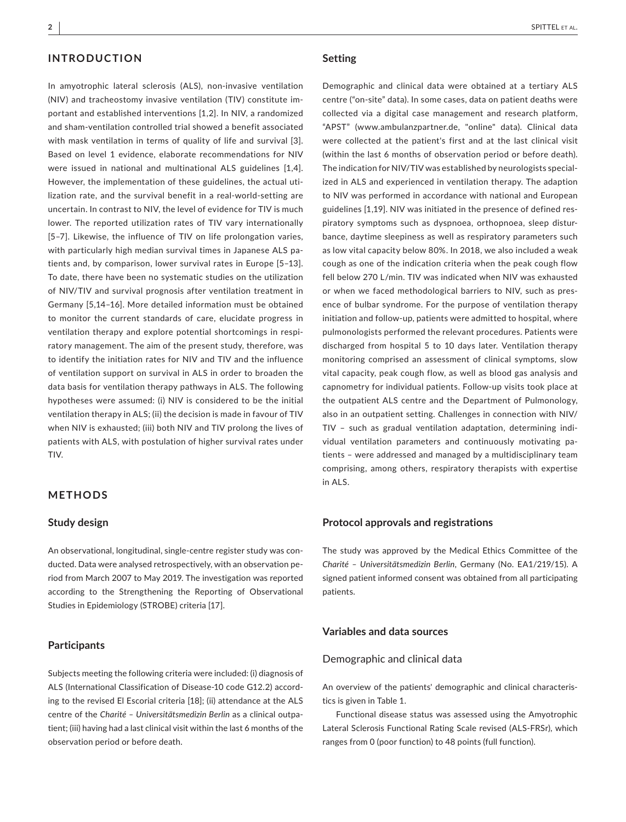## **INTRODUCTION**

In amyotrophic lateral sclerosis (ALS), non-invasive ventilation (NIV) and tracheostomy invasive ventilation (TIV) constitute important and established interventions [1,2]. In NIV, a randomized and sham-ventilation controlled trial showed a benefit associated with mask ventilation in terms of quality of life and survival [3]. Based on level 1 evidence, elaborate recommendations for NIV were issued in national and multinational ALS guidelines [1,4]. However, the implementation of these guidelines, the actual utilization rate, and the survival benefit in a real-world-setting are uncertain. In contrast to NIV, the level of evidence for TIV is much lower. The reported utilization rates of TIV vary internationally [5–7]. Likewise, the influence of TIV on life prolongation varies, with particularly high median survival times in Japanese ALS patients and, by comparison, lower survival rates in Europe [5–13]. To date, there have been no systematic studies on the utilization of NIV/TIV and survival prognosis after ventilation treatment in Germany [5,14–16]. More detailed information must be obtained to monitor the current standards of care, elucidate progress in ventilation therapy and explore potential shortcomings in respiratory management. The aim of the present study, therefore, was to identify the initiation rates for NIV and TIV and the influence of ventilation support on survival in ALS in order to broaden the data basis for ventilation therapy pathways in ALS. The following hypotheses were assumed: (i) NIV is considered to be the initial ventilation therapy in ALS; (ii) the decision is made in favour of TIV when NIV is exhausted; (iii) both NIV and TIV prolong the lives of patients with ALS, with postulation of higher survival rates under TIV.

## **METHODS**

## **Study design**

An observational, longitudinal, single-centre register study was conducted. Data were analysed retrospectively, with an observation period from March 2007 to May 2019. The investigation was reported according to the Strengthening the Reporting of Observational Studies in Epidemiology (STROBE) criteria [17].

## **Participants**

Subjects meeting the following criteria were included: (i) diagnosis of ALS (International Classification of Disease-10 code G12.2) according to the revised El Escorial criteria [18]; (ii) attendance at the ALS centre of the *Charité – Universitätsmedizin Berlin* as a clinical outpatient; (iii) having had a last clinical visit within the last 6 months of the observation period or before death.

#### **Setting**

Demographic and clinical data were obtained at a tertiary ALS centre ("on-site" data). In some cases, data on patient deaths were collected via a digital case management and research platform, "APST" [\(www.ambulanzpartner.de,](http://www.ambulanzpartner.de) "online" data). Clinical data were collected at the patient's first and at the last clinical visit (within the last 6 months of observation period or before death). The indication for NIV/TIV was established by neurologists specialized in ALS and experienced in ventilation therapy. The adaption to NIV was performed in accordance with national and European guidelines [1,19]. NIV was initiated in the presence of defined respiratory symptoms such as dyspnoea, orthopnoea, sleep disturbance, daytime sleepiness as well as respiratory parameters such as low vital capacity below 80%. In 2018, we also included a weak cough as one of the indication criteria when the peak cough flow fell below 270 L/min. TIV was indicated when NIV was exhausted or when we faced methodological barriers to NIV, such as presence of bulbar syndrome. For the purpose of ventilation therapy initiation and follow-up, patients were admitted to hospital, where pulmonologists performed the relevant procedures. Patients were discharged from hospital 5 to 10 days later. Ventilation therapy monitoring comprised an assessment of clinical symptoms, slow vital capacity, peak cough flow, as well as blood gas analysis and capnometry for individual patients. Follow-up visits took place at the outpatient ALS centre and the Department of Pulmonology, also in an outpatient setting. Challenges in connection with NIV/ TIV – such as gradual ventilation adaptation, determining individual ventilation parameters and continuously motivating patients – were addressed and managed by a multidisciplinary team comprising, among others, respiratory therapists with expertise in ALS.

## **Protocol approvals and registrations**

The study was approved by the Medical Ethics Committee of the *Charité – Universitätsmedizin Berlin*, Germany (No. EA1/219/15). A signed patient informed consent was obtained from all participating patients.

## **Variables and data sources**

## Demographic and clinical data

An overview of the patients' demographic and clinical characteristics is given in Table 1.

Functional disease status was assessed using the Amyotrophic Lateral Sclerosis Functional Rating Scale revised (ALS-FRSr), which ranges from 0 (poor function) to 48 points (full function).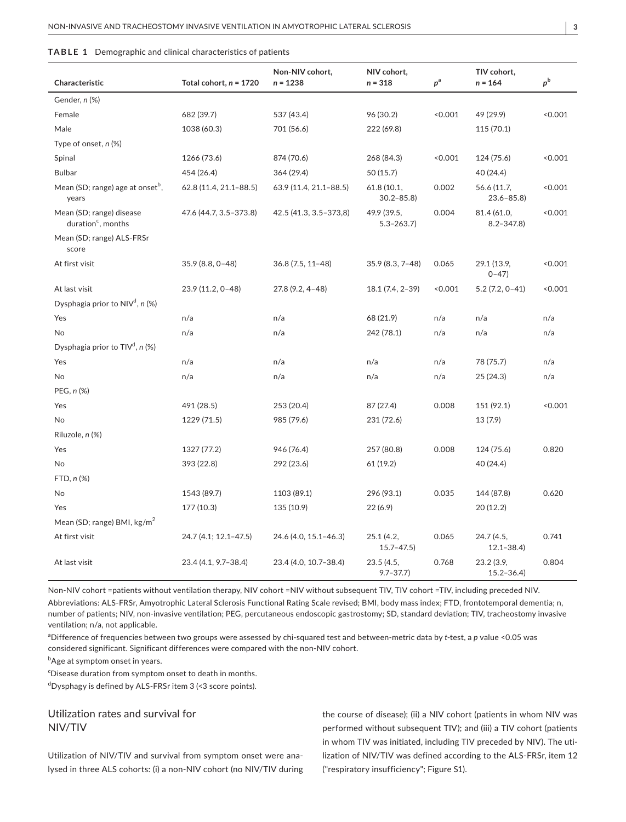|  | <b>TABLE 1</b> Demographic and clinical characteristics of patients |  |  |  |
|--|---------------------------------------------------------------------|--|--|--|
|--|---------------------------------------------------------------------|--|--|--|

| Characteristic                                        | Total cohort, $n = 1720$ | Non-NIV cohort,<br>$n = 1238$ | NIV cohort,<br>$n = 318$     | $p^a$   | TIV cohort,<br>$n = 164$     | $p^{\rm b}$ |
|-------------------------------------------------------|--------------------------|-------------------------------|------------------------------|---------|------------------------------|-------------|
| Gender, n (%)                                         |                          |                               |                              |         |                              |             |
| Female                                                | 682 (39.7)               | 537 (43.4)                    | 96 (30.2)                    | < 0.001 | 49 (29.9)                    | 0.001       |
| Male                                                  | 1038 (60.3)              | 701 (56.6)                    | 222 (69.8)                   |         | 115 (70.1)                   |             |
| Type of onset, $n$ (%)                                |                          |                               |                              |         |                              |             |
| Spinal                                                | 1266 (73.6)              | 874 (70.6)                    | 268 (84.3)                   | 0.001   | 124 (75.6)                   | < 0.001     |
| <b>Bulbar</b>                                         | 454 (26.4)               | 364 (29.4)                    | 50 (15.7)                    |         | 40 (24.4)                    |             |
| Mean (SD; range) age at onset <sup>b</sup> ,<br>years | 62.8 (11.4, 21.1-88.5)   | 63.9 (11.4, 21.1-88.5)        | 61.8 (10.1,<br>$30.2 - 85.8$ | 0.002   | 56.6 (11.7,<br>$23.6 - 85.8$ | 0.001       |
| Mean (SD; range) disease<br>duration $c$ , months     | 47.6 (44.7, 3.5-373.8)   | 42.5 (41.3, 3.5–373,8)        | 49.9 (39.5,<br>$5.3 - 263.7$ | 0.004   | 81.4 (61.0,<br>$8.2 - 347.8$ | < 0.001     |
| Mean (SD; range) ALS-FRSr<br>score                    |                          |                               |                              |         |                              |             |
| At first visit                                        | $35.9(8.8, 0-48)$        | $36.8(7.5, 11-48)$            | 35.9 (8.3, 7-48)             | 0.065   | 29.1 (13.9,<br>$0 - 47$      | 0.001       |
| At last visit                                         | 23.9 (11.2, 0-48)        | $27.8(9.2, 4-48)$             | 18.1 (7.4, 2-39)             | 0.001   | $5.2(7.2, 0-41)$             | < 0.001     |
| Dysphagia prior to NIV <sup>d</sup> , $n$ (%)         |                          |                               |                              |         |                              |             |
| Yes                                                   | n/a                      | n/a                           | 68 (21.9)                    | n/a     | n/a                          | n/a         |
| No                                                    | n/a                      | n/a                           | 242 (78.1)                   | n/a     | n/a                          | n/a         |
| Dysphagia prior to $TIVd$ , n (%)                     |                          |                               |                              |         |                              |             |
| Yes                                                   | n/a                      | n/a                           | n/a                          | n/a     | 78 (75.7)                    | n/a         |
| No                                                    | n/a                      | n/a                           | n/a                          | n/a     | 25(24.3)                     | n/a         |
| PEG, n (%)                                            |                          |                               |                              |         |                              |             |
| Yes                                                   | 491 (28.5)               | 253 (20.4)                    | 87 (27.4)                    | 0.008   | 151 (92.1)                   | 0.001       |
| No                                                    | 1229 (71.5)              | 985 (79.6)                    | 231 (72.6)                   |         | 13(7.9)                      |             |
| Riluzole, n (%)                                       |                          |                               |                              |         |                              |             |
| Yes                                                   | 1327 (77.2)              | 946 (76.4)                    | 257 (80.8)                   | 0.008   | 124 (75.6)                   | 0.820       |
| No                                                    | 393 (22.8)               | 292 (23.6)                    | 61 (19.2)                    |         | 40 (24.4)                    |             |
| $FTD, n$ (%)                                          |                          |                               |                              |         |                              |             |
| No                                                    | 1543 (89.7)              | 1103 (89.1)                   | 296 (93.1)                   | 0.035   | 144 (87.8)                   | 0.620       |
| Yes                                                   | 177 (10.3)               | 135 (10.9)                    | 22(6.9)                      |         | 20(12.2)                     |             |
| Mean (SD; range) BMI, kg/m <sup>2</sup>               |                          |                               |                              |         |                              |             |
| At first visit                                        | 24.7 (4.1; 12.1-47.5)    | 24.6 (4.0, 15.1-46.3)         | 25.1(4.2,<br>$15.7 - 47.5$   | 0.065   | 24.7 (4.5,<br>$12.1 - 38.4$  | 0.741       |
| At last visit                                         | 23.4 (4.1, 9.7-38.4)     | 23.4 (4.0, 10.7-38.4)         | 23.5 (4.5,<br>$9.7 - 37.7$   | 0.768   | 23.2 (3.9,<br>$15.2 - 36.4$  | 0.804       |

Non-NIV cohort =patients without ventilation therapy, NIV cohort =NIV without subsequent TIV, TIV cohort =TIV, including preceded NIV. Abbreviations: ALS-FRSr, Amyotrophic Lateral Sclerosis Functional Rating Scale revised; BMI, body mass index; FTD, frontotemporal dementia; n, number of patients; NIV, non-invasive ventilation; PEG, percutaneous endoscopic gastrostomy; SD, standard deviation; TIV, tracheostomy invasive ventilation; n/a, not applicable.

a Difference of frequencies between two groups were assessed by chi-squared test and between-metric data by *t*-test, a *p* value <0.05 was considered significant. Significant differences were compared with the non-NIV cohort.

<sup>b</sup>Age at symptom onset in years.

c Disease duration from symptom onset to death in months.

<sup>d</sup>Dysphagy is defined by ALS-FRSr item 3 (<3 score points).

# Utilization rates and survival for NIV/TIV

Utilization of NIV/TIV and survival from symptom onset were analysed in three ALS cohorts: (i) a non-NIV cohort (no NIV/TIV during

the course of disease); (ii) a NIV cohort (patients in whom NIV was performed without subsequent TIV); and (iii) a TIV cohort (patients in whom TIV was initiated, including TIV preceded by NIV). The utilization of NIV/TIV was defined according to the ALS-FRSr, item 12 ("respiratory insufficiency"; Figure S1).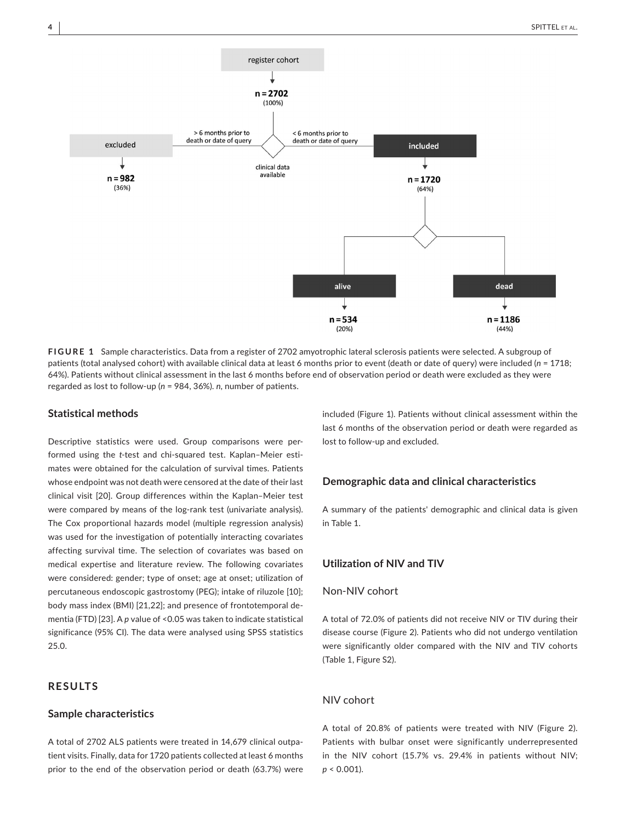

**FIGURE 1** Sample characteristics. Data from a register of 2702 amyotrophic lateral sclerosis patients were selected. A subgroup of patients (total analysed cohort) with available clinical data at least 6 months prior to event (death or date of query) were included (*n* = 1718; 64%). Patients without clinical assessment in the last 6 months before end of observation period or death were excluded as they were regarded as lost to follow-up (*n* = 984, 36%). *n*, number of patients.

## **Statistical methods**

Descriptive statistics were used. Group comparisons were performed using the *t*-test and chi-squared test. Kaplan–Meier estimates were obtained for the calculation of survival times. Patients whose endpoint was not death were censored at the date of their last clinical visit [20]. Group differences within the Kaplan–Meier test were compared by means of the log-rank test (univariate analysis). The Cox proportional hazards model (multiple regression analysis) was used for the investigation of potentially interacting covariates affecting survival time. The selection of covariates was based on medical expertise and literature review. The following covariates were considered: gender; type of onset; age at onset; utilization of percutaneous endoscopic gastrostomy (PEG); intake of riluzole [10]; body mass index (BMI) [21,22]; and presence of frontotemporal dementia (FTD) [23]. A *p* value of <0.05 was taken to indicate statistical significance (95% CI). The data were analysed using SPSS statistics 25.0.

# **RESULTS**

## **Sample characteristics**

A total of 2702 ALS patients were treated in 14,679 clinical outpatient visits. Finally, data for 1720 patients collected at least 6 months prior to the end of the observation period or death (63.7%) were included (Figure 1). Patients without clinical assessment within the last 6 months of the observation period or death were regarded as lost to follow-up and excluded.

## **Demographic data and clinical characteristics**

A summary of the patients' demographic and clinical data is given in Table 1.

## **Utilization of NIV and TIV**

## Non-NIV cohort

A total of 72.0% of patients did not receive NIV or TIV during their disease course (Figure 2). Patients who did not undergo ventilation were significantly older compared with the NIV and TIV cohorts (Table 1, Figure S2).

## NIV cohort

A total of 20.8% of patients were treated with NIV (Figure 2). Patients with bulbar onset were significantly underrepresented in the NIV cohort (15.7% vs. 29.4% in patients without NIV; *p* < 0.001).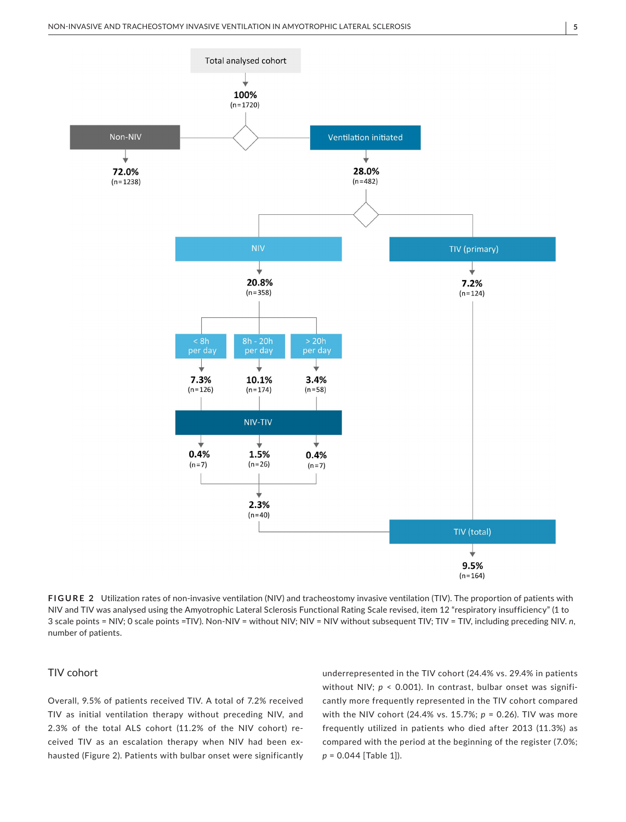

**FIGURE 2** Utilization rates of non-invasive ventilation (NIV) and tracheostomy invasive ventilation (TIV). The proportion of patients with NIV and TIV was analysed using the Amyotrophic Lateral Sclerosis Functional Rating Scale revised, item 12 "respiratory insufficiency" (1 to 3 scale points = NIV; 0 scale points =TIV). Non-NIV = without NIV; NIV = NIV without subsequent TIV; TIV = TIV, including preceding NIV. *n*, number of patients.

# TIV cohort

Overall, 9.5% of patients received TIV. A total of 7.2% received TIV as initial ventilation therapy without preceding NIV, and 2.3% of the total ALS cohort (11.2% of the NIV cohort) received TIV as an escalation therapy when NIV had been exhausted (Figure 2). Patients with bulbar onset were significantly

underrepresented in the TIV cohort (24.4% vs. 29.4% in patients without NIV;  $p < 0.001$ ). In contrast, bulbar onset was significantly more frequently represented in the TIV cohort compared with the NIV cohort (24.4% vs. 15.7%; *p* = 0.26). TIV was more frequently utilized in patients who died after 2013 (11.3%) as compared with the period at the beginning of the register (7.0%; *p* = 0.044 [Table 1]).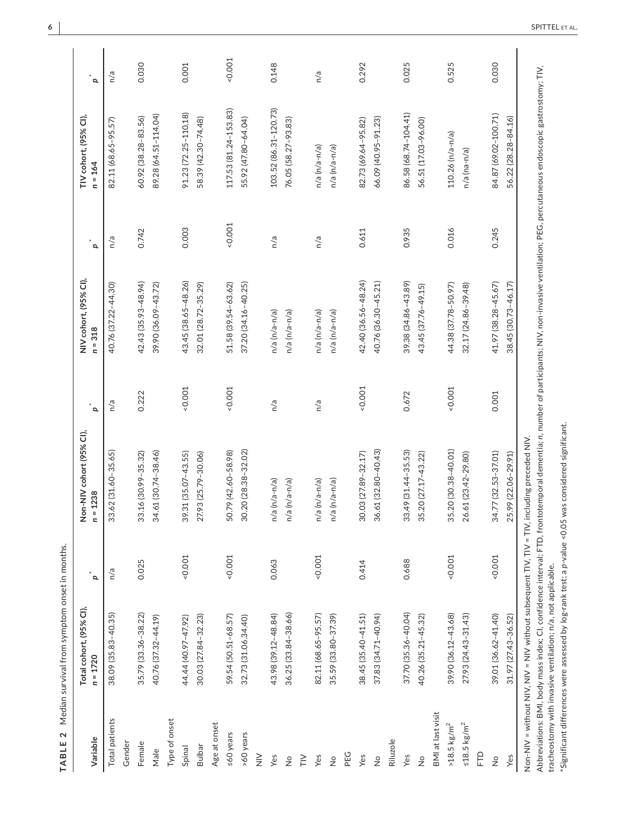| Variable                  | Total cohort, (95% CI),<br>$n = 1720$                                                       | $\cdot$ <sup>a</sup> | Non-NIV cohort (95% CI),<br>$n = 1238$                                                                                                                                                               | $\mathbf{a}^{\dagger}$ | NIV cohort, (95% CI),<br>$n = 318$ | $\mathbf{a}^{\dagger}$ | TIV cohort, (95% CI),<br>$n = 164$ | $\overline{a}$ |
|---------------------------|---------------------------------------------------------------------------------------------|----------------------|------------------------------------------------------------------------------------------------------------------------------------------------------------------------------------------------------|------------------------|------------------------------------|------------------------|------------------------------------|----------------|
| Total patients            | 38.09 (35.83-40.35)                                                                         | n/a                  | $33.62(31.60 - 35.65)$                                                                                                                                                                               | n/a                    | 40.76 (37.22-44.30)                | n/a                    | 82.11 (68.65-95.57)                | n/a            |
| Gender                    |                                                                                             |                      |                                                                                                                                                                                                      |                        |                                    |                        |                                    |                |
| Female                    | 35.79 (33.36-38.22)                                                                         | 0.025                | 33.16 (30.99-35.32)                                                                                                                                                                                  | 0.222                  | 42.43 (35.93-48.94)                | 0.742                  | $60.92(38.28 - 83.56)$             | 0.030          |
| Male                      | 40.76 (37.32-44.19)                                                                         |                      | 34.61 (30.74-38.46)                                                                                                                                                                                  |                        | 39.90 (36.09-43.72)                |                        | 89.28 (64.51-114.04)               |                |
| Type of onset             |                                                                                             |                      |                                                                                                                                                                                                      |                        |                                    |                        |                                    |                |
| Spinal                    | 44.44 (40.97-47.92)                                                                         | 0.001                | $(31(35.07 - 43.55))$<br>8                                                                                                                                                                           | 100.001                | 43.45 (38.65-48.26)                | 0.003                  | 91.23 (72.25-110.18)               | 0.001          |
| Bulbar                    | 30.03 (27.84-32.23)                                                                         |                      | 27.93 (25.79-30.06)                                                                                                                                                                                  |                        | 32.01 (28.72-35.29)                |                        | 58.39 (42.30-74.48)                |                |
| Age at onset              |                                                                                             |                      |                                                                                                                                                                                                      |                        |                                    |                        |                                    |                |
| ≤60 years                 | 59.54 (50.51-68.57)                                                                         | 0.001                | 50.79 (42.60-58.98)                                                                                                                                                                                  | 0.001                  | 51.58 (39.54-63.62)                | $-0.001$               | 117.53 (81.24-153.83)              | $-0.001$       |
| >60 years                 | 32.73 (31.06.34.40)                                                                         |                      | $.20(28.38 - 32.02)$<br>$\overline{3}$                                                                                                                                                               |                        | 37.20 (34.16-40.25)                |                        | 55.92 (47.80-64.04)                |                |
| $\geqq$                   |                                                                                             |                      |                                                                                                                                                                                                      |                        |                                    |                        |                                    |                |
| Yes                       | 43.98 (39.12-48.84)                                                                         | 0.063                | n/a (n/a-n/a)                                                                                                                                                                                        | n/a                    | n/a (n/a-n/a)                      | n/a                    | 103.52 (86.31-120.73)              | 0.148          |
| $\frac{1}{2}$             | 36.25 (33.84-38.66)                                                                         |                      | n/a (n/a-n/a)                                                                                                                                                                                        |                        | n/a (n/a-n/a)                      |                        | 76.05 (58.27-93.83)                |                |
| $\geq$                    |                                                                                             |                      |                                                                                                                                                                                                      |                        |                                    |                        |                                    |                |
| Yes                       | 82.11 (68.65-95.57)                                                                         | 0.001                | n/a (n/a-n/a)                                                                                                                                                                                        | n/a                    | n/a (n/a-n/a)                      | n/a                    | n/a (n/a-n/a)                      | n/a            |
| $\frac{\circ}{2}$         | 35.59 (33.80-37.39)                                                                         |                      | n/a (n/a-n/a)                                                                                                                                                                                        |                        | n/a (n/a-n/a)                      |                        | n/a (n/a-n/a)                      |                |
| PEG                       |                                                                                             |                      |                                                                                                                                                                                                      |                        |                                    |                        |                                    |                |
| Yes                       | 38.45 (35.40-41.51)                                                                         | 0.414                | 30.03 (27.89-32.17)                                                                                                                                                                                  | 0.001                  | 42.40 (36.56-48.24)                | 0.611                  | 82.73 (69.64-95.82)                | 0.292          |
| $\frac{1}{2}$             | 37.83 (34.71-40.94)                                                                         |                      | 36.61 (32.80-40.43)                                                                                                                                                                                  |                        | 40.76 (36.30-45.21)                |                        | 66.09 (40.95-91.23)                |                |
| Riluzole                  |                                                                                             |                      |                                                                                                                                                                                                      |                        |                                    |                        |                                    |                |
| Yes                       | 37.70 (35.36-40.04)                                                                         | 0.688                | 33.49 (31.44-35.53)                                                                                                                                                                                  | 0.672                  | 39.38 (34.86-43.89)                | 0.935                  | 86.58 (68.74-104.41)               | 0.025          |
| $\frac{1}{2}$             | 40.26 (35.21-45.32)                                                                         |                      | $.20(27.17 - 43.22)$<br>35                                                                                                                                                                           |                        | 43.45 (37.76-49.15)                |                        | 56.51 (17.03-96.00)                |                |
| <b>BMI</b> at last visit  |                                                                                             |                      |                                                                                                                                                                                                      |                        |                                    |                        |                                    |                |
| $>18.5 \text{ kg/m}^2$    | 39.90 (36.12-43.68)                                                                         | 10010                | 35.20 (30.38-40.01)                                                                                                                                                                                  | 100.001                | 44.38 (37.78-50.97)                | 0.016                  | $110.26 (n/a-n/a)$                 | 0.525          |
| $\leq 18.5~\text{kg/m}^2$ | 27.93 (24.43-31.43)                                                                         |                      | 26.61 (23.42-29.80)                                                                                                                                                                                  |                        | 32.17 (24.86-39.48)                |                        | n/a (na-n/a)                       |                |
| ETD                       |                                                                                             |                      |                                                                                                                                                                                                      |                        |                                    |                        |                                    |                |
| $\frac{1}{2}$             | 39.01 (36.62-41.40)                                                                         | 0.001                | 34.77 (32.53-37.01)                                                                                                                                                                                  | 0.001                  | 41.97 (38.28-45.67)                | 0.245                  | 84.87 (69.02-100.71)               | 0.030          |
| Yes                       | 31.97 (27.43-36.52)                                                                         |                      | .99 (22.06-29.91)<br>25                                                                                                                                                                              |                        | 38.45 (30.73-46.17)                |                        | 56.22 (28.28-84.16)                |                |
|                           | Non-NIV = without NIV, NIV = NIV without subsequent TIV, TIV = TIV, including preceded NIV. |                      | Abbreviations: BMI, body mass index; CI, confidence interval; FTD, frontotemporal dementia; n, number of participants; NIV, non-invasive ventilation; PEG, percutaneous endoscopic gastrostomy; TIV, |                        |                                    |                        |                                    |                |

TABLE 2 Median survival from symptom onset in months. **TABLE 2** Median survival from symptom onset in months.

**6** 

Abbreviations: BMI, body mass index; CI, confidence interval; FTD, frontotemporal dementia; n, number<br>tracheostomy with invasive ventilation; n/a, not applicable. \*Significant differences were assessed by log-rank test; a p-value <0.05 was considered significant. \*Significant differences were assessed by log-rank test; a *p*-value <0.05 was considered significant. tracheostomy with invasive ventilation; n/a, not applicable.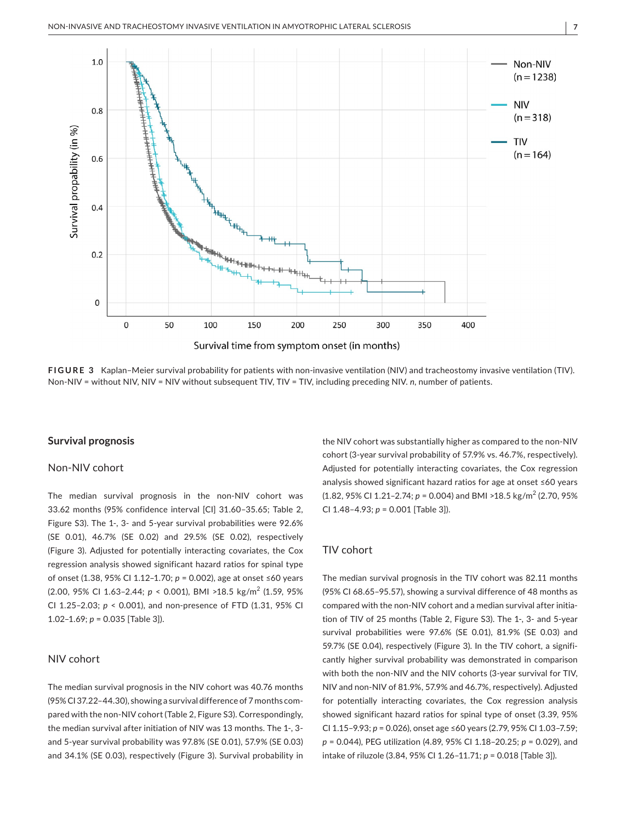

**FIGURE 3** Kaplan–Meier survival probability for patients with non-invasive ventilation (NIV) and tracheostomy invasive ventilation (TIV). Non-NIV = without NIV, NIV = NIV without subsequent TIV, TIV = TIV, including preceding NIV. *n*, number of patients.

#### **Survival prognosis**

## Non-NIV cohort

The median survival prognosis in the non-NIV cohort was 33.62 months (95% confidence interval [CI] 31.60–35.65; Table 2, Figure S3). The 1-, 3- and 5-year survival probabilities were 92.6% (SE 0.01), 46.7% (SE 0.02) and 29.5% (SE 0.02), respectively (Figure 3). Adjusted for potentially interacting covariates, the Cox regression analysis showed significant hazard ratios for spinal type of onset (1.38, 95% CI 1.12–1.70; *p* = 0.002), age at onset ≤60 years (2.00, 95% CI 1.63-2.44; *p* < 0.001), BMI >18.5 kg/m<sup>2</sup> (1.59, 95% CI 1.25–2.03; *p* < 0.001), and non-presence of FTD (1.31, 95% CI 1.02–1.69; *p* = 0.035 [Table 3]).

## NIV cohort

The median survival prognosis in the NIV cohort was 40.76 months (95% CI 37.22–44.30), showing a survival difference of 7 months compared with the non-NIV cohort (Table 2, Figure S3). Correspondingly, the median survival after initiation of NIV was 13 months. The 1-, 3 and 5-year survival probability was 97.8% (SE 0.01), 57.9% (SE 0.03) and 34.1% (SE 0.03), respectively (Figure 3). Survival probability in

the NIV cohort was substantially higher as compared to the non-NIV cohort (3-year survival probability of 57.9% vs. 46.7%, respectively). Adjusted for potentially interacting covariates, the Cox regression analysis showed significant hazard ratios for age at onset ≤60 years  $(1.82, 95\% \text{ CI } 1.21 - 2.74; p = 0.004)$  and BMI > 18.5 kg/m<sup>2</sup> (2.70, 95%) CI 1.48–4.93; *p* = 0.001 [Table 3]).

## TIV cohort

The median survival prognosis in the TIV cohort was 82.11 months (95% CI 68.65–95.57), showing a survival difference of 48 months as compared with the non-NIV cohort and a median survival after initiation of TIV of 25 months (Table 2, Figure S3). The 1-, 3- and 5-year survival probabilities were 97.6% (SE 0.01), 81.9% (SE 0.03) and 59.7% (SE 0.04), respectively (Figure 3). In the TIV cohort, a significantly higher survival probability was demonstrated in comparison with both the non-NIV and the NIV cohorts (3-year survival for TIV, NIV and non-NIV of 81.9%, 57.9% and 46.7%, respectively). Adjusted for potentially interacting covariates, the Cox regression analysis showed significant hazard ratios for spinal type of onset (3.39, 95% CI 1.15–9.93; *p* = 0.026), onset age ≤60 years (2.79, 95% CI 1.03–7.59; *p* = 0.044), PEG utilization (4.89, 95% CI 1.18–20.25; *p* = 0.029), and intake of riluzole (3.84, 95% CI 1.26–11.71; *p* = 0.018 [Table 3]).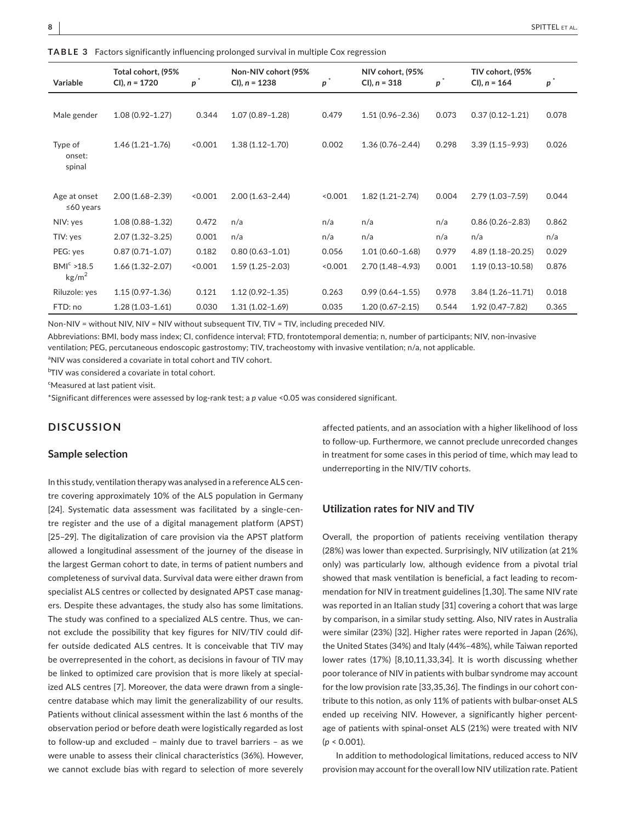**TABLE 3** Factors significantly influencing prolonged survival in multiple Cox regression

| <b>Variable</b>                  | Total cohort, (95%<br>$Cl$ ), $n = 1720$ | p       | Non-NIV cohort (95%<br>$Cl$ ), $n = 1238$ | p       | NIV cohort, (95%<br>$Cl$ ), $n = 318$ | p     | TIV cohort, (95%<br>CI), $n = 164$ | p     |
|----------------------------------|------------------------------------------|---------|-------------------------------------------|---------|---------------------------------------|-------|------------------------------------|-------|
|                                  |                                          |         |                                           |         |                                       |       |                                    |       |
| Male gender                      | $1.08(0.92 - 1.27)$                      | 0.344   | $1.07(0.89 - 1.28)$                       | 0.479   | $1.51(0.96 - 2.36)$                   | 0.073 | $0.37(0.12 - 1.21)$                | 0.078 |
| Type of<br>onset:<br>spinal      | $1.46(1.21 - 1.76)$                      | < 0.001 | $1.38(1.12 - 1.70)$                       | 0.002   | $1.36(0.76 - 2.44)$                   | 0.298 | $3.39(1.15 - 9.93)$                | 0.026 |
| Age at onset<br>$≤60$ years      | $2.00(1.68 - 2.39)$                      | 0.001   | $2.00(1.63 - 2.44)$                       | < 0.001 | $1.82(1.21 - 2.74)$                   | 0.004 | 2.79 (1.03-7.59)                   | 0.044 |
| NIV: yes                         | $1.08(0.88 - 1.32)$                      | 0.472   | n/a                                       | n/a     | n/a                                   | n/a   | $0.86(0.26 - 2.83)$                | 0.862 |
| TIV: yes                         | $2.07(1.32 - 3.25)$                      | 0.001   | n/a                                       | n/a     | n/a                                   | n/a   | n/a                                | n/a   |
| PEG: yes                         | $0.87(0.71 - 1.07)$                      | 0.182   | $0.80(0.63 - 1.01)$                       | 0.056   | $1.01(0.60 - 1.68)$                   | 0.979 | $4.89(1.18 - 20.25)$               | 0.029 |
| $BM^c > 18.5$<br>$\text{kg/m}^2$ | $1.66(1.32 - 2.07)$                      | 0.001   | $1.59(1.25 - 2.03)$                       | < 0.001 | $2.70(1.48 - 4.93)$                   | 0.001 | $1.19(0.13 - 10.58)$               | 0.876 |
| Riluzole: yes                    | $1.15(0.97 - 1.36)$                      | 0.121   | $1.12(0.92 - 1.35)$                       | 0.263   | $0.99(0.64 - 1.55)$                   | 0.978 | $3.84(1.26 - 11.71)$               | 0.018 |
| FTD: no                          | $1.28(1.03 - 1.61)$                      | 0.030   | $1.31(1.02 - 1.69)$                       | 0.035   | $1.20(0.67 - 2.15)$                   | 0.544 | 1.92 (0.47-7.82)                   | 0.365 |

Non-NIV = without NIV, NIV = NIV without subsequent TIV, TIV = TIV, including preceded NIV.

Abbreviations: BMI, body mass index; CI, confidence interval; FTD, frontotemporal dementia; n, number of participants; NIV, non-invasive ventilation; PEG, percutaneous endoscopic gastrostomy; TIV, tracheostomy with invasive ventilation; n/a, not applicable.

<sup>a</sup>NIV was considered a covariate in total cohort and TIV cohort.

<sup>b</sup>TIV was considered a covariate in total cohort.

c Measured at last patient visit.

\*Significant differences were assessed by log-rank test; a *p* value <0.05 was considered significant.

# **DISCUSSION**

#### **Sample selection**

In this study, ventilation therapy was analysed in a reference ALS centre covering approximately 10% of the ALS population in Germany [24]. Systematic data assessment was facilitated by a single-centre register and the use of a digital management platform (APST) [25–29]. The digitalization of care provision via the APST platform allowed a longitudinal assessment of the journey of the disease in the largest German cohort to date, in terms of patient numbers and completeness of survival data. Survival data were either drawn from specialist ALS centres or collected by designated APST case managers. Despite these advantages, the study also has some limitations. The study was confined to a specialized ALS centre. Thus, we cannot exclude the possibility that key figures for NIV/TIV could differ outside dedicated ALS centres. It is conceivable that TIV may be overrepresented in the cohort, as decisions in favour of TIV may be linked to optimized care provision that is more likely at specialized ALS centres [7]. Moreover, the data were drawn from a singlecentre database which may limit the generalizability of our results. Patients without clinical assessment within the last 6 months of the observation period or before death were logistically regarded as lost to follow-up and excluded – mainly due to travel barriers – as we were unable to assess their clinical characteristics (36%). However, we cannot exclude bias with regard to selection of more severely

affected patients, and an association with a higher likelihood of loss to follow-up. Furthermore, we cannot preclude unrecorded changes in treatment for some cases in this period of time, which may lead to underreporting in the NIV/TIV cohorts.

## **Utilization rates for NIV and TIV**

Overall, the proportion of patients receiving ventilation therapy (28%) was lower than expected. Surprisingly, NIV utilization (at 21% only) was particularly low, although evidence from a pivotal trial showed that mask ventilation is beneficial, a fact leading to recommendation for NIV in treatment guidelines [1,30]. The same NIV rate was reported in an Italian study [31] covering a cohort that was large by comparison, in a similar study setting. Also, NIV rates in Australia were similar (23%) [32]. Higher rates were reported in Japan (26%), the United States (34%) and Italy (44%–48%), while Taiwan reported lower rates (17%) [8,10,11,33,34]. It is worth discussing whether poor tolerance of NIV in patients with bulbar syndrome may account for the low provision rate [33,35,36]. The findings in our cohort contribute to this notion, as only 11% of patients with bulbar-onset ALS ended up receiving NIV. However, a significantly higher percentage of patients with spinal-onset ALS (21%) were treated with NIV (*p* < 0.001).

In addition to methodological limitations, reduced access to NIV provision may account for the overall low NIV utilization rate. Patient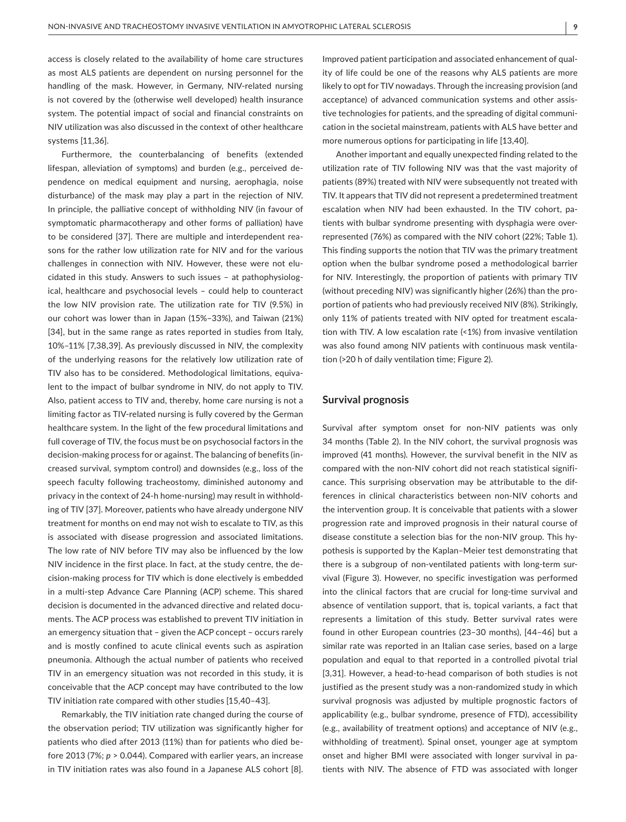access is closely related to the availability of home care structures as most ALS patients are dependent on nursing personnel for the handling of the mask. However, in Germany, NIV-related nursing is not covered by the (otherwise well developed) health insurance system. The potential impact of social and financial constraints on NIV utilization was also discussed in the context of other healthcare systems [11,36].

Furthermore, the counterbalancing of benefits (extended lifespan, alleviation of symptoms) and burden (e.g., perceived dependence on medical equipment and nursing, aerophagia, noise disturbance) of the mask may play a part in the rejection of NIV. In principle, the palliative concept of withholding NIV (in favour of symptomatic pharmacotherapy and other forms of palliation) have to be considered [37]. There are multiple and interdependent reasons for the rather low utilization rate for NIV and for the various challenges in connection with NIV. However, these were not elucidated in this study. Answers to such issues – at pathophysiological, healthcare and psychosocial levels – could help to counteract the low NIV provision rate. The utilization rate for TIV (9.5%) in our cohort was lower than in Japan (15%–33%), and Taiwan (21%) [34], but in the same range as rates reported in studies from Italy, 10%–11% [7,38,39]. As previously discussed in NIV, the complexity of the underlying reasons for the relatively low utilization rate of TIV also has to be considered. Methodological limitations, equivalent to the impact of bulbar syndrome in NIV, do not apply to TIV. Also, patient access to TIV and, thereby, home care nursing is not a limiting factor as TIV-related nursing is fully covered by the German healthcare system. In the light of the few procedural limitations and full coverage of TIV, the focus must be on psychosocial factors in the decision-making process for or against. The balancing of benefits (increased survival, symptom control) and downsides (e.g., loss of the speech faculty following tracheostomy, diminished autonomy and privacy in the context of 24-h home-nursing) may result in withholding of TIV [37]. Moreover, patients who have already undergone NIV treatment for months on end may not wish to escalate to TIV, as this is associated with disease progression and associated limitations. The low rate of NIV before TIV may also be influenced by the low NIV incidence in the first place. In fact, at the study centre, the decision-making process for TIV which is done electively is embedded in a multi-step Advance Care Planning (ACP) scheme. This shared decision is documented in the advanced directive and related documents. The ACP process was established to prevent TIV initiation in an emergency situation that – given the ACP concept – occurs rarely and is mostly confined to acute clinical events such as aspiration pneumonia. Although the actual number of patients who received TIV in an emergency situation was not recorded in this study, it is conceivable that the ACP concept may have contributed to the low TIV initiation rate compared with other studies [15,40–43].

Remarkably, the TIV initiation rate changed during the course of the observation period; TIV utilization was significantly higher for patients who died after 2013 (11%) than for patients who died before 2013 (7%; *p* > 0.044). Compared with earlier years, an increase in TIV initiation rates was also found in a Japanese ALS cohort [8].

Improved patient participation and associated enhancement of quality of life could be one of the reasons why ALS patients are more likely to opt for TIV nowadays. Through the increasing provision (and acceptance) of advanced communication systems and other assistive technologies for patients, and the spreading of digital communication in the societal mainstream, patients with ALS have better and more numerous options for participating in life [13,40].

Another important and equally unexpected finding related to the utilization rate of TIV following NIV was that the vast majority of patients (89%) treated with NIV were subsequently not treated with TIV. It appears that TIV did not represent a predetermined treatment escalation when NIV had been exhausted. In the TIV cohort, patients with bulbar syndrome presenting with dysphagia were overrepresented (76%) as compared with the NIV cohort (22%; Table 1). This finding supports the notion that TIV was the primary treatment option when the bulbar syndrome posed a methodological barrier for NIV. Interestingly, the proportion of patients with primary TIV (without preceding NIV) was significantly higher (26%) than the proportion of patients who had previously received NIV (8%). Strikingly, only 11% of patients treated with NIV opted for treatment escalation with TIV. A low escalation rate (<1%) from invasive ventilation was also found among NIV patients with continuous mask ventilation (>20 h of daily ventilation time; Figure 2).

## **Survival prognosis**

Survival after symptom onset for non-NIV patients was only 34 months (Table 2). In the NIV cohort, the survival prognosis was improved (41 months). However, the survival benefit in the NIV as compared with the non-NIV cohort did not reach statistical significance. This surprising observation may be attributable to the differences in clinical characteristics between non-NIV cohorts and the intervention group. It is conceivable that patients with a slower progression rate and improved prognosis in their natural course of disease constitute a selection bias for the non-NIV group. This hypothesis is supported by the Kaplan–Meier test demonstrating that there is a subgroup of non-ventilated patients with long-term survival (Figure 3). However, no specific investigation was performed into the clinical factors that are crucial for long-time survival and absence of ventilation support, that is, topical variants, a fact that represents a limitation of this study. Better survival rates were found in other European countries (23–30 months), [44–46] but a similar rate was reported in an Italian case series, based on a large population and equal to that reported in a controlled pivotal trial [3,31]. However, a head-to-head comparison of both studies is not justified as the present study was a non-randomized study in which survival prognosis was adjusted by multiple prognostic factors of applicability (e.g., bulbar syndrome, presence of FTD), accessibility (e.g., availability of treatment options) and acceptance of NIV (e.g., withholding of treatment). Spinal onset, younger age at symptom onset and higher BMI were associated with longer survival in patients with NIV. The absence of FTD was associated with longer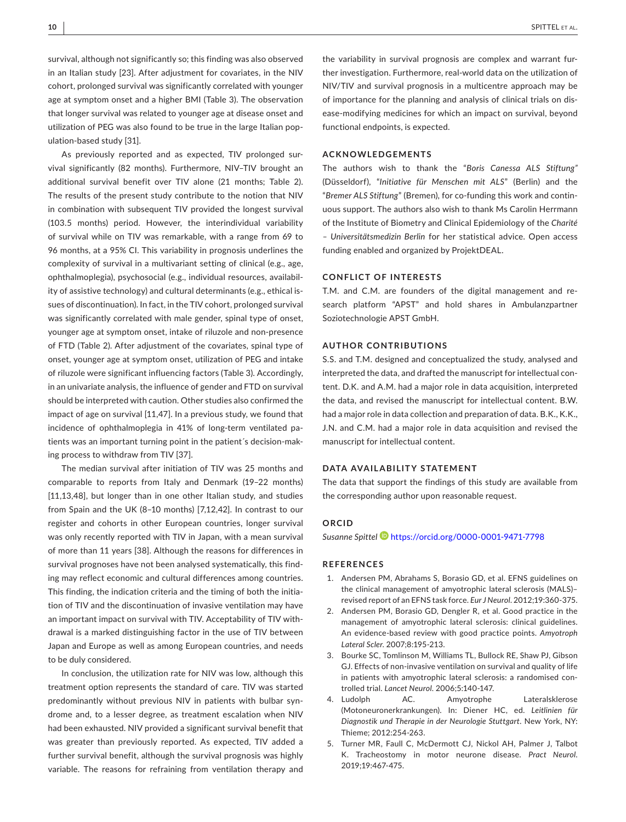survival, although not significantly so; this finding was also observed in an Italian study [23]. After adjustment for covariates, in the NIV cohort, prolonged survival was significantly correlated with younger age at symptom onset and a higher BMI (Table 3). The observation that longer survival was related to younger age at disease onset and utilization of PEG was also found to be true in the large Italian population-based study [31].

As previously reported and as expected, TIV prolonged survival significantly (82 months). Furthermore, NIV–TIV brought an additional survival benefit over TIV alone (21 months; Table 2). The results of the present study contribute to the notion that NIV in combination with subsequent TIV provided the longest survival (103.5 months) period. However, the interindividual variability of survival while on TIV was remarkable, with a range from 69 to 96 months, at a 95% CI. This variability in prognosis underlines the complexity of survival in a multivariant setting of clinical (e.g., age, ophthalmoplegia), psychosocial (e.g., individual resources, availability of assistive technology) and cultural determinants (e.g., ethical issues of discontinuation). In fact, in the TIV cohort, prolonged survival was significantly correlated with male gender, spinal type of onset, younger age at symptom onset, intake of riluzole and non-presence of FTD (Table 2). After adjustment of the covariates, spinal type of onset, younger age at symptom onset, utilization of PEG and intake of riluzole were significant influencing factors (Table 3). Accordingly, in an univariate analysis, the influence of gender and FTD on survival should be interpreted with caution. Other studies also confirmed the impact of age on survival [11,47]. In a previous study, we found that incidence of ophthalmoplegia in 41% of long-term ventilated patients was an important turning point in the patient´s decision-making process to withdraw from TIV [37].

The median survival after initiation of TIV was 25 months and comparable to reports from Italy and Denmark (19–22 months) [11,13,48], but longer than in one other Italian study, and studies from Spain and the UK (8–10 months) [7,12,42]. In contrast to our register and cohorts in other European countries, longer survival was only recently reported with TIV in Japan, with a mean survival of more than 11 years [38]. Although the reasons for differences in survival prognoses have not been analysed systematically, this finding may reflect economic and cultural differences among countries. This finding, the indication criteria and the timing of both the initiation of TIV and the discontinuation of invasive ventilation may have an important impact on survival with TIV. Acceptability of TIV withdrawal is a marked distinguishing factor in the use of TIV between Japan and Europe as well as among European countries, and needs to be duly considered.

In conclusion, the utilization rate for NIV was low, although this treatment option represents the standard of care. TIV was started predominantly without previous NIV in patients with bulbar syndrome and, to a lesser degree, as treatment escalation when NIV had been exhausted. NIV provided a significant survival benefit that was greater than previously reported. As expected, TIV added a further survival benefit, although the survival prognosis was highly variable. The reasons for refraining from ventilation therapy and

the variability in survival prognosis are complex and warrant further investigation. Furthermore, real-world data on the utilization of NIV/TIV and survival prognosis in a multicentre approach may be of importance for the planning and analysis of clinical trials on disease-modifying medicines for which an impact on survival, beyond functional endpoints, is expected.

## **ACKNOWLEDGEMENTS**

The authors wish to thank the "*Boris Canessa ALS Stiftung"* (Düsseldorf), "*Initiative für Menschen mit ALS*" (Berlin) and the "*Bremer ALS Stiftung*" (Bremen), for co-funding this work and continuous support. The authors also wish to thank Ms Carolin Herrmann of the Institute of Biometry and Clinical Epidemiology of the *Charité – Universitätsmedizin Berlin* for her statistical advice. Open access funding enabled and organized by ProjektDEAL.

#### **CONFLICT OF INTERESTS**

T.M. and C.M. are founders of the digital management and research platform "APST" and hold shares in Ambulanzpartner Soziotechnologie APST GmbH.

#### **AUTHOR CONTRIBUTIONS**

S.S. and T.M. designed and conceptualized the study, analysed and interpreted the data, and drafted the manuscript for intellectual content. D.K. and A.M. had a major role in data acquisition, interpreted the data, and revised the manuscript for intellectual content. B.W. had a major role in data collection and preparation of data. B.K., K.K., J.N. and C.M. had a major role in data acquisition and revised the manuscript for intellectual content.

## **DATA AVAILABILITY STATEMENT**

The data that support the findings of this study are available from the corresponding author upon reasonable request.

## **ORCID**

*Susanne Spittel* <https://orcid.org/0000-0001-9471-7798>

#### **REFERENCES**

- 1. Andersen PM, Abrahams S, Borasio GD, et al. EFNS guidelines on the clinical management of amyotrophic lateral sclerosis (MALS)– revised report of an EFNS task force. *Eur J Neurol*. 2012;19:360-375.
- 2. Andersen PM, Borasio GD, Dengler R, et al. Good practice in the management of amyotrophic lateral sclerosis: clinical guidelines. An evidence-based review with good practice points. *Amyotroph Lateral Scler*. 2007;8:195-213.
- 3. Bourke SC, Tomlinson M, Williams TL, Bullock RE, Shaw PJ, Gibson GJ. Effects of non-invasive ventilation on survival and quality of life in patients with amyotrophic lateral sclerosis: a randomised controlled trial. *Lancet Neurol*. 2006;5:140-147.
- 4. Ludolph and AC. Amyotrophe Lateralsklerose (Motoneuronerkrankungen). In: Diener HC, ed. *Leitlinien für Diagnostik und Therapie in der Neurologie Stuttgart*. New York, NY: Thieme; 2012:254-263.
- 5. Turner MR, Faull C, McDermott CJ, Nickol AH, Palmer J, Talbot K. Tracheostomy in motor neurone disease. *Pract Neurol*. 2019;19:467-475.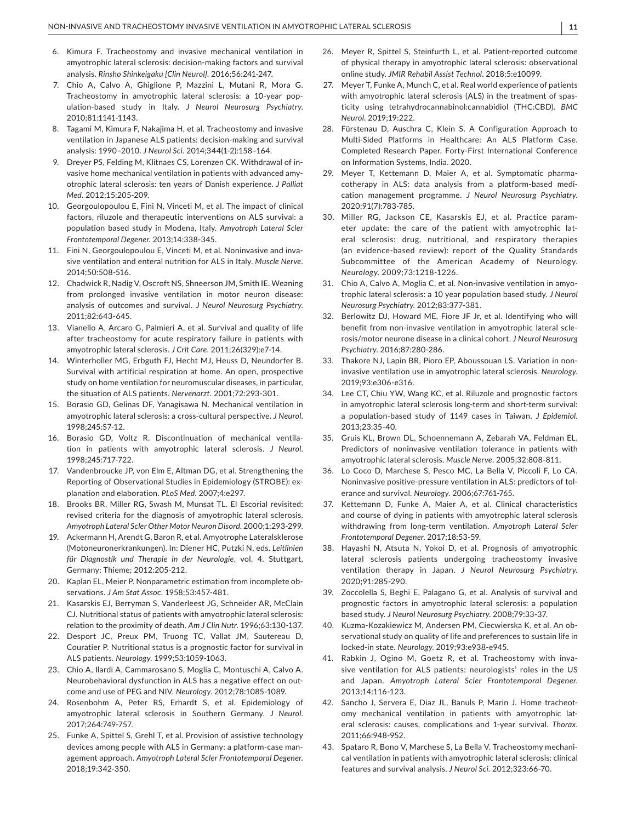- 6. Kimura F. Tracheostomy and invasive mechanical ventilation in amyotrophic lateral sclerosis: decision-making factors and survival analysis. *Rinsho Shinkeigaku [Clin Neurol]*. 2016;56:241-247.
- 7. Chio A, Calvo A, Ghiglione P, Mazzini L, Mutani R, Mora G. Tracheostomy in amyotrophic lateral sclerosis: a 10-year population-based study in Italy. *J Neurol Neurosurg Psychiatry*. 2010;81:1141-1143.
- 8. Tagami M, Kimura F, Nakajima H, et al. Tracheostomy and invasive ventilation in Japanese ALS patients: decision-making and survival analysis: 1990–2010. *J Neurol Sci*. 2014;344(1-2):158–164.
- 9. Dreyer PS, Felding M, Klitnaes CS, Lorenzen CK. Withdrawal of invasive home mechanical ventilation in patients with advanced amyotrophic lateral sclerosis: ten years of Danish experience. *J Palliat Med*. 2012;15:205-209.
- 10. Georgoulopoulou E, Fini N, Vinceti M, et al. The impact of clinical factors, riluzole and therapeutic interventions on ALS survival: a population based study in Modena, Italy. *Amyotroph Lateral Scler Frontotemporal Degener*. 2013;14:338-345.
- 11. Fini N, Georgoulopoulou E, Vinceti M, et al. Noninvasive and invasive ventilation and enteral nutrition for ALS in Italy. *Muscle Nerve*. 2014;50:508-516.
- 12. Chadwick R, Nadig V, Oscroft NS, Shneerson JM, Smith IE. Weaning from prolonged invasive ventilation in motor neuron disease: analysis of outcomes and survival. *J Neurol Neurosurg Psychiatry*. 2011;82:643-645.
- 13. Vianello A, Arcaro G, Palmieri A, et al. Survival and quality of life after tracheostomy for acute respiratory failure in patients with amyotrophic lateral sclerosis. *J Crit Care*. 2011;26(329):e7-14.
- 14. Winterholler MG, Erbguth FJ, Hecht MJ, Heuss D, Neundorfer B. Survival with artificial respiration at home. An open, prospective study on home ventilation for neuromuscular diseases, in particular, the situation of ALS patients. *Nervenarzt*. 2001;72:293-301.
- 15. Borasio GD, Gelinas DF, Yanagisawa N. Mechanical ventilation in amyotrophic lateral sclerosis: a cross-cultural perspective. *J Neurol*. 1998;245:S7-12.
- 16. Borasio GD, Voltz R. Discontinuation of mechanical ventilation in patients with amyotrophic lateral sclerosis. *J Neurol*. 1998;245:717-722.
- 17. Vandenbroucke JP, von Elm E, Altman DG, et al. Strengthening the Reporting of Observational Studies in Epidemiology (STROBE): explanation and elaboration. *PLoS Med*. 2007;4:e297.
- 18. Brooks BR, Miller RG, Swash M, Munsat TL. El Escorial revisited: revised criteria for the diagnosis of amyotrophic lateral sclerosis. *Amyotroph Lateral Scler Other Motor Neuron Disord*. 2000;1:293-299.
- 19. Ackermann H, Arendt G, Baron R, et al. Amyotrophe Lateralsklerose (Motoneuronerkrankungen). In: Diener HC, Putzki N, eds. *Leitlinien für Diagnostik und Therapie in der Neurologie*, vol. 4. Stuttgart, Germany: Thieme; 2012:205-212.
- 20. Kaplan EL, Meier P. Nonparametric estimation from incomplete observations. *J Am Stat Assoc*. 1958;53:457-481.
- 21. Kasarskis EJ, Berryman S, Vanderleest JG, Schneider AR, McClain CJ. Nutritional status of patients with amyotrophic lateral sclerosis: relation to the proximity of death. *Am J Clin Nutr*. 1996;63:130-137.
- 22. Desport JC, Preux PM, Truong TC, Vallat JM, Sautereau D, Couratier P. Nutritional status is a prognostic factor for survival in ALS patients. *Neurology*. 1999;53:1059-1063.
- 23. Chio A, Ilardi A, Cammarosano S, Moglia C, Montuschi A, Calvo A. Neurobehavioral dysfunction in ALS has a negative effect on outcome and use of PEG and NIV. *Neurology*. 2012;78:1085-1089.
- 24. Rosenbohm A, Peter RS, Erhardt S, et al. Epidemiology of amyotrophic lateral sclerosis in Southern Germany. *J Neurol*. 2017;264:749-757.
- 25. Funke A, Spittel S, Grehl T, et al. Provision of assistive technology devices among people with ALS in Germany: a platform-case management approach. *Amyotroph Lateral Scler Frontotemporal Degener*. 2018;19:342-350.
- 26. Meyer R, Spittel S, Steinfurth L, et al. Patient-reported outcome of physical therapy in amyotrophic lateral sclerosis: observational online study. *JMIR Rehabil Assist Technol*. 2018;5:e10099.
- 27. Meyer T, Funke A, Munch C, et al. Real world experience of patients with amyotrophic lateral sclerosis (ALS) in the treatment of spasticity using tetrahydrocannabinol:cannabidiol (THC:CBD). *BMC Neurol*. 2019;19:222.
- 28. Fürstenau D, Auschra C, Klein S. A Configuration Approach to Multi-Sided Platforms in Healthcare: An ALS Platform Case. Completed Research Paper. Forty-First International Conference on Information Systems, India. 2020.
- 29. Meyer T, Kettemann D, Maier A, et al. Symptomatic pharmacotherapy in ALS: data analysis from a platform-based medication management programme. *J Neurol Neurosurg Psychiatry*. 2020;91(7):783-785.
- 30. Miller RG, Jackson CE, Kasarskis EJ, et al. Practice parameter update: the care of the patient with amyotrophic lateral sclerosis: drug, nutritional, and respiratory therapies (an evidence-based review): report of the Quality Standards Subcommittee of the American Academy of Neurology. *Neurology*. 2009;73:1218-1226.
- 31. Chio A, Calvo A, Moglia C, et al. Non-invasive ventilation in amyotrophic lateral sclerosis: a 10 year population based study. *J Neurol Neurosurg Psychiatry*. 2012;83:377-381.
- 32. Berlowitz DJ, Howard ME, Fiore JF Jr, et al. Identifying who will benefit from non-invasive ventilation in amyotrophic lateral sclerosis/motor neurone disease in a clinical cohort. *J Neurol Neurosurg Psychiatry*. 2016;87:280-286.
- 33. Thakore NJ, Lapin BR, Pioro EP, Aboussouan LS. Variation in noninvasive ventilation use in amyotrophic lateral sclerosis. *Neurology*. 2019;93:e306-e316.
- 34. Lee CT, Chiu YW, Wang KC, et al. Riluzole and prognostic factors in amyotrophic lateral sclerosis long-term and short-term survival: a population-based study of 1149 cases in Taiwan. *J Epidemiol*. 2013;23:35-40.
- 35. Gruis KL, Brown DL, Schoennemann A, Zebarah VA, Feldman EL. Predictors of noninvasive ventilation tolerance in patients with amyotrophic lateral sclerosis. *Muscle Nerve*. 2005;32:808-811.
- 36. Lo Coco D, Marchese S, Pesco MC, La Bella V, Piccoli F, Lo CA. Noninvasive positive-pressure ventilation in ALS: predictors of tolerance and survival. *Neurology*. 2006;67:761-765.
- 37. Kettemann D, Funke A, Maier A, et al. Clinical characteristics and course of dying in patients with amyotrophic lateral sclerosis withdrawing from long-term ventilation. *Amyotroph Lateral Scler Frontotemporal Degener*. 2017;18:53-59.
- 38. Hayashi N, Atsuta N, Yokoi D, et al. Prognosis of amyotrophic lateral sclerosis patients undergoing tracheostomy invasive ventilation therapy in Japan. *J Neurol Neurosurg Psychiatry*. 2020;91:285-290.
- 39. Zoccolella S, Beghi E, Palagano G, et al. Analysis of survival and prognostic factors in amyotrophic lateral sclerosis: a population based study. *J Neurol Neurosurg Psychiatry*. 2008;79:33-37.
- 40. Kuzma-Kozakiewicz M, Andersen PM, Ciecwierska K, et al. An observational study on quality of life and preferences to sustain life in locked-in state. *Neurology*. 2019;93:e938-e945.
- 41. Rabkin J, Ogino M, Goetz R, et al. Tracheostomy with invasive ventilation for ALS patients: neurologists' roles in the US and Japan. *Amyotroph Lateral Scler Frontotemporal Degener*. 2013;14:116-123.
- 42. Sancho J, Servera E, Diaz JL, Banuls P, Marin J. Home tracheotomy mechanical ventilation in patients with amyotrophic lateral sclerosis: causes, complications and 1-year survival. *Thorax*. 2011;66:948-952.
- 43. Spataro R, Bono V, Marchese S, La Bella V. Tracheostomy mechanical ventilation in patients with amyotrophic lateral sclerosis: clinical features and survival analysis. *J Neurol Sci*. 2012;323:66-70.